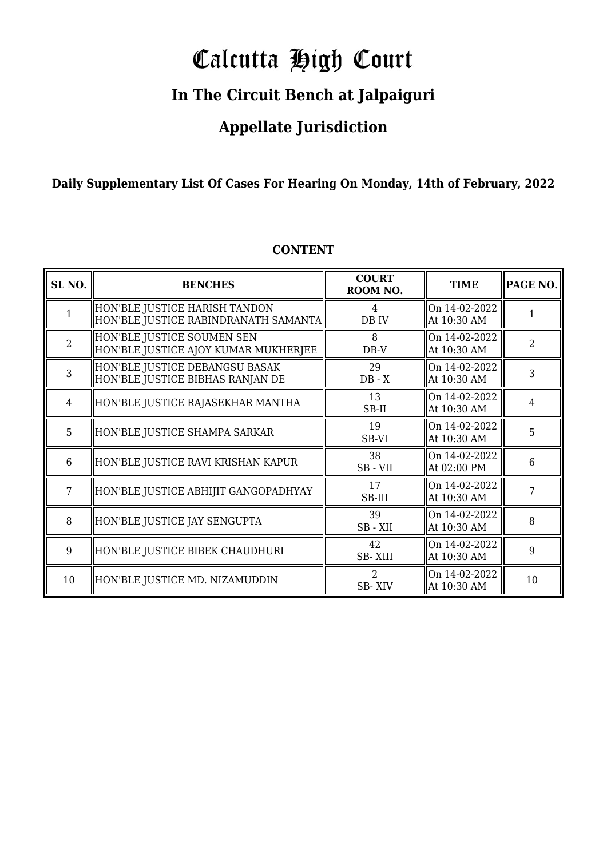# Calcutta High Court

### **In The Circuit Bench at Jalpaiguri**

### **Appellate Jurisdiction**

### **Daily Supplementary List Of Cases For Hearing On Monday, 14th of February, 2022**

| SL <sub>NO.</sub> | <b>BENCHES</b>                                                        | <b>COURT</b><br>ROOM NO. | <b>TIME</b>                   | PAGE NO.       |
|-------------------|-----------------------------------------------------------------------|--------------------------|-------------------------------|----------------|
| 1                 | HON'BLE JUSTICE HARISH TANDON<br>HON'BLE JUSTICE RABINDRANATH SAMANTA | 4<br>DB IV               | On 14-02-2022<br>At 10:30 AM  | 1              |
| $\overline{2}$    | HON'BLE JUSTICE SOUMEN SEN<br>HON'BLE JUSTICE AJOY KUMAR MUKHERJEE    | 8<br>DB-V                | On 14-02-2022<br>At 10:30 AM  | $\overline{2}$ |
| 3                 | HON'BLE JUSTICE DEBANGSU BASAK<br>HON'BLE JUSTICE BIBHAS RANJAN DE    | 29<br>$DB - X$           | On 14-02-2022<br>At 10:30 AM  | 3              |
| 4                 | HON'BLE JUSTICE RAJASEKHAR MANTHA                                     | 13<br>SB-II              | On 14-02-2022<br>At 10:30 AM  | 4              |
| 5                 | HON'BLE JUSTICE SHAMPA SARKAR                                         | 19<br>SB-VI              | On 14-02-2022<br>At 10:30 AM  | 5              |
| 6                 | HON'BLE JUSTICE RAVI KRISHAN KAPUR                                    | 38<br>SB-VII             | On 14-02-2022<br>At 02:00 PM  | 6              |
| 7                 | HON'BLE JUSTICE ABHIJIT GANGOPADHYAY                                  | 17<br>SB-III             | lOn 14-02-2022<br>At 10:30 AM | 7              |
| 8                 | HON'BLE JUSTICE JAY SENGUPTA                                          | 39<br>SB-XII             | On 14-02-2022<br>At 10:30 AM  | 8              |
| 9                 | HON'BLE JUSTICE BIBEK CHAUDHURI                                       | 42<br><b>SB-XIII</b>     | On 14-02-2022<br>At 10:30 AM  | 9              |
| 10                | HON'BLE JUSTICE MD. NIZAMUDDIN                                        | $\mathcal{D}$<br>SB-XIV  | On 14-02-2022<br>At 10:30 AM  | 10             |

### **CONTENT**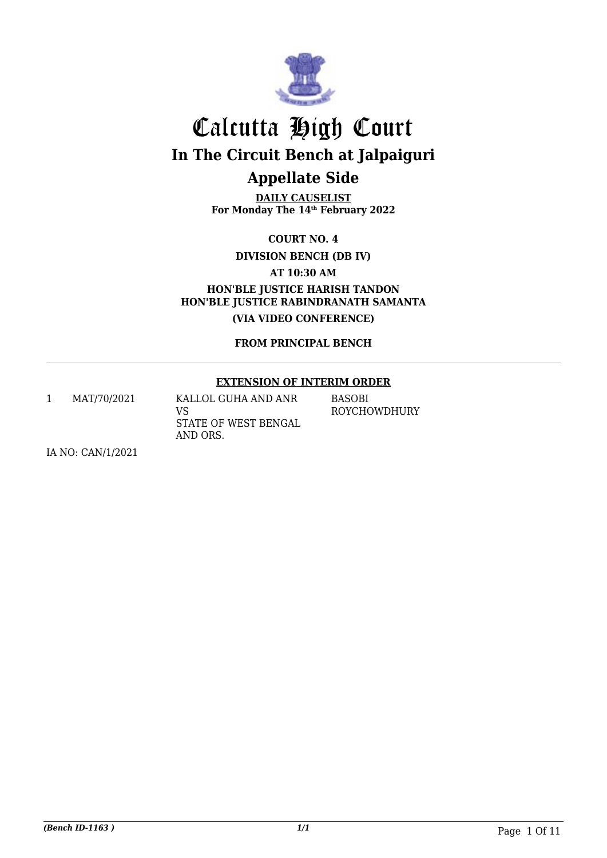

**DAILY CAUSELIST For Monday The 14th February 2022**

**COURT NO. 4**

**DIVISION BENCH (DB IV)**

**AT 10:30 AM**

**HON'BLE JUSTICE HARISH TANDON HON'BLE JUSTICE RABINDRANATH SAMANTA (VIA VIDEO CONFERENCE)**

**FROM PRINCIPAL BENCH**

#### **EXTENSION OF INTERIM ORDER**

1 MAT/70/2021 KALLOL GUHA AND ANR VS STATE OF WEST BENGAL AND ORS. **BASOBI** ROYCHOWDHURY

IA NO: CAN/1/2021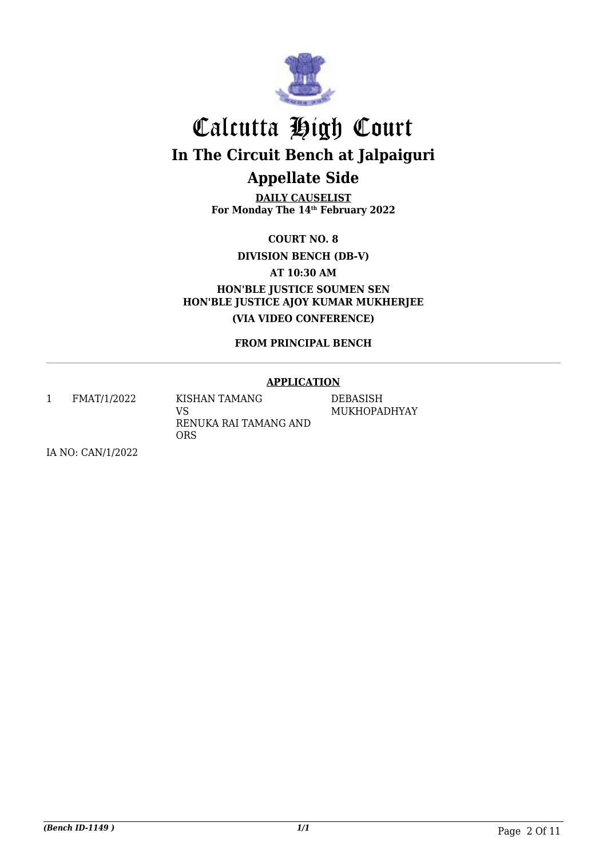

**DAILY CAUSELIST For Monday The 14th February 2022**

**COURT NO. 8**

**DIVISION BENCH (DB-V)**

**AT 10:30 AM**

**HON'BLE JUSTICE SOUMEN SEN HON'BLE JUSTICE AJOY KUMAR MUKHERJEE (VIA VIDEO CONFERENCE)**

**FROM PRINCIPAL BENCH**

#### **APPLICATION**

1 FMAT/1/2022 KISHAN TAMANG VS RENUKA RAI TAMANG AND

ORS

DEBASISH MUKHOPADHYAY

IA NO: CAN/1/2022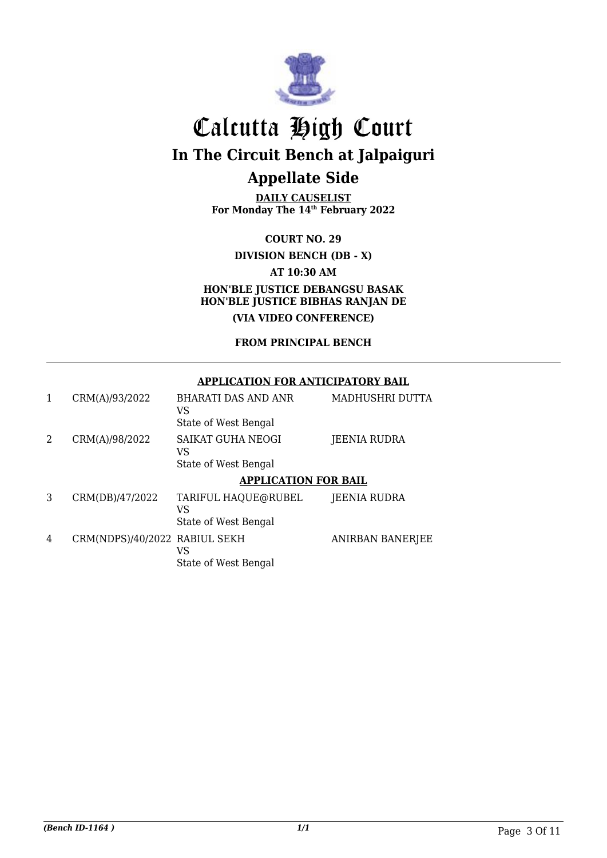

**DAILY CAUSELIST For Monday The 14th February 2022**

**COURT NO. 29 DIVISION BENCH (DB - X) AT 10:30 AM HON'BLE JUSTICE DEBANGSU BASAK HON'BLE JUSTICE BIBHAS RANJAN DE (VIA VIDEO CONFERENCE)**

### **FROM PRINCIPAL BENCH**

#### **APPLICATION FOR ANTICIPATORY BAIL**

| 1 | CRM(A)/93/2022                | <b>BHARATI DAS AND ANR</b><br>VS<br>State of West Bengal | MADHUSHRI DUTTA  |
|---|-------------------------------|----------------------------------------------------------|------------------|
| 2 | CRM(A)/98/2022                | SAIKAT GUHA NEOGI<br>VS<br>State of West Bengal          | JEENIA RUDRA     |
|   |                               | <b>APPLICATION FOR BAIL</b>                              |                  |
| 3 | CRM(DB)/47/2022               | TARIFUL HAQUE@RUBEL<br>VS<br>State of West Bengal        | JEENIA RUDRA     |
| 4 | CRM(NDPS)/40/2022 RABIUL SEKH | VS<br>State of West Bengal                               | ANIRBAN BANERJEE |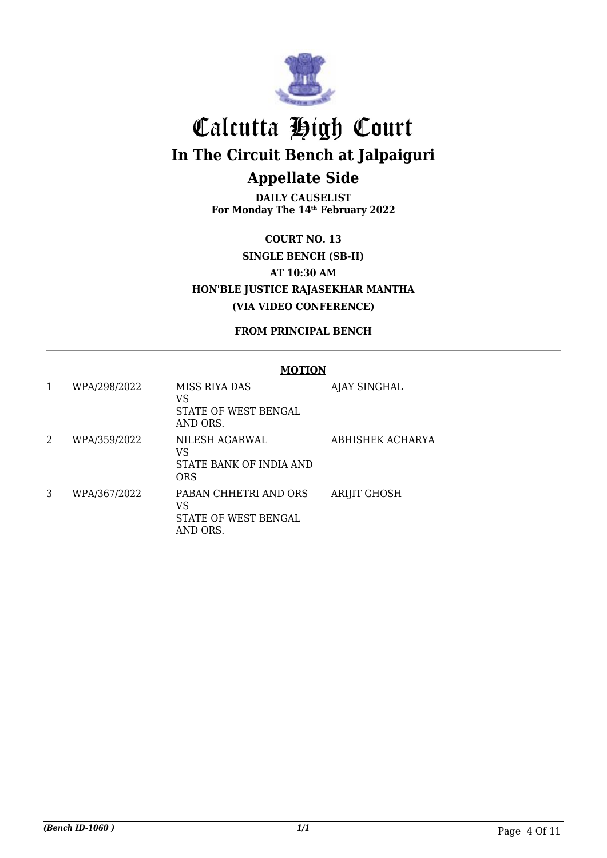

**DAILY CAUSELIST For Monday The 14th February 2022**

**COURT NO. 13 SINGLE BENCH (SB-II) AT 10:30 AM HON'BLE JUSTICE RAJASEKHAR MANTHA (VIA VIDEO CONFERENCE)**

**FROM PRINCIPAL BENCH**

#### **MOTION**

| 1 | WPA/298/2022 | MISS RIYA DAS<br>VS<br>STATE OF WEST BENGAL<br>AND ORS.         | AJAY SINGHAL        |
|---|--------------|-----------------------------------------------------------------|---------------------|
| 2 | WPA/359/2022 | NILESH AGARWAL<br>VS<br>STATE BANK OF INDIA AND<br><b>ORS</b>   | ABHISHEK ACHARYA    |
| 3 | WPA/367/2022 | PABAN CHHETRI AND ORS<br>VS<br>STATE OF WEST BENGAL<br>AND ORS. | <b>ARIJIT GHOSH</b> |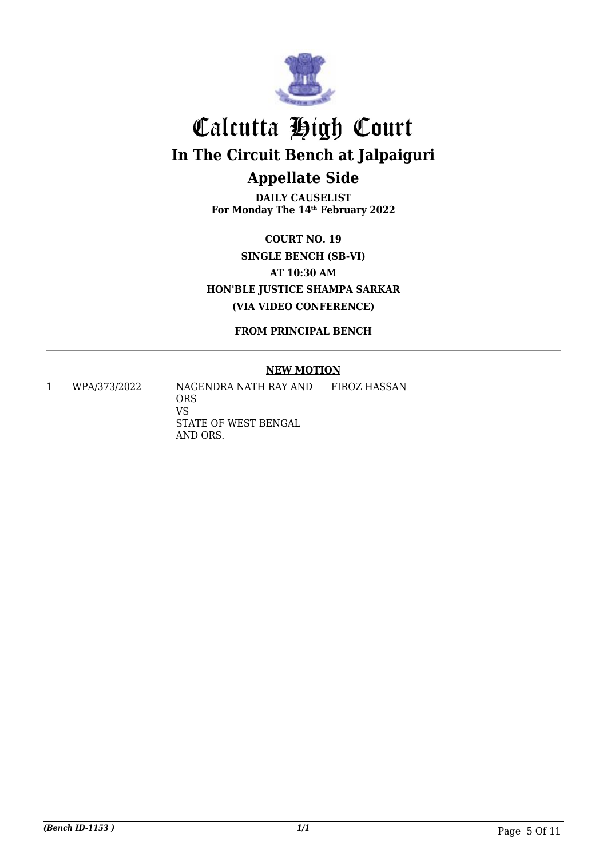

**DAILY CAUSELIST For Monday The 14th February 2022**

**COURT NO. 19 SINGLE BENCH (SB-VI) AT 10:30 AM HON'BLE JUSTICE SHAMPA SARKAR (VIA VIDEO CONFERENCE)**

**FROM PRINCIPAL BENCH**

#### **NEW MOTION**

VS

1 WPA/373/2022 NAGENDRA NATH RAY AND ORS STATE OF WEST BENGAL AND ORS. FIROZ HASSAN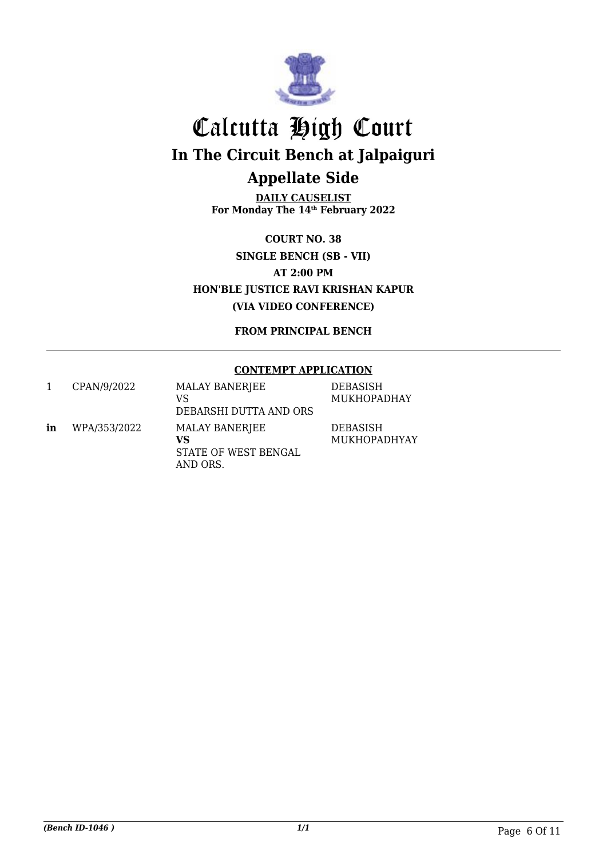

**DAILY CAUSELIST For Monday The 14th February 2022**

**COURT NO. 38 SINGLE BENCH (SB - VII) AT 2:00 PM HON'BLE JUSTICE RAVI KRISHAN KAPUR (VIA VIDEO CONFERENCE)**

**FROM PRINCIPAL BENCH**

#### **CONTEMPT APPLICATION**

|    | CPAN/9/2022  | <b>MALAY BANERJEE</b><br>VS<br>DEBARSHI DUTTA AND ORS    | <b>DEBASISH</b><br><b>MUKHOPADHAY</b> |
|----|--------------|----------------------------------------------------------|---------------------------------------|
| in | WPA/353/2022 | MALAY BANERJEE<br>VS<br>STATE OF WEST BENGAL<br>AND ORS. | <b>DEBASISH</b><br>MUKHOPADHYAY       |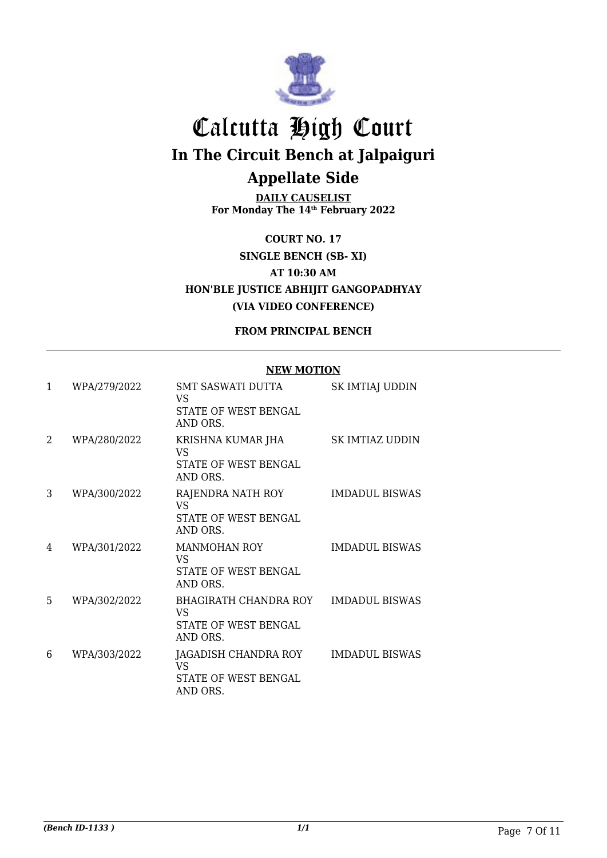

**DAILY CAUSELIST For Monday The 14th February 2022**

**COURT NO. 17 SINGLE BENCH (SB- XI) AT 10:30 AM HON'BLE JUSTICE ABHIJIT GANGOPADHYAY (VIA VIDEO CONFERENCE)**

#### **FROM PRINCIPAL BENCH**

#### **NEW MOTION**

| $\mathbf{1}$ | WPA/279/2022 | <b>SMT SASWATI DUTTA</b><br>VS.<br>STATE OF WEST BENGAL<br>AND ORS.           | SK IMTIAJ UDDIN       |
|--------------|--------------|-------------------------------------------------------------------------------|-----------------------|
| 2            | WPA/280/2022 | KRISHNA KUMAR JHA<br>VS<br>STATE OF WEST BENGAL<br>AND ORS.                   | SK IMTIAZ UDDIN       |
| 3            | WPA/300/2022 | RAJENDRA NATH ROY<br><b>VS</b><br>STATE OF WEST BENGAL<br>AND ORS.            | <b>IMDADUL BISWAS</b> |
| 4            | WPA/301/2022 | <b>MANMOHAN ROY</b><br>VS<br>STATE OF WEST BENGAL<br>AND ORS.                 | <b>IMDADUL BISWAS</b> |
| 5            | WPA/302/2022 | <b>BHAGIRATH CHANDRA ROY</b><br><b>VS</b><br>STATE OF WEST BENGAL<br>AND ORS. | <b>IMDADUL BISWAS</b> |
| 6            | WPA/303/2022 | JAGADISH CHANDRA ROY<br>VS<br>STATE OF WEST BENGAL<br>AND ORS.                | <b>IMDADUL BISWAS</b> |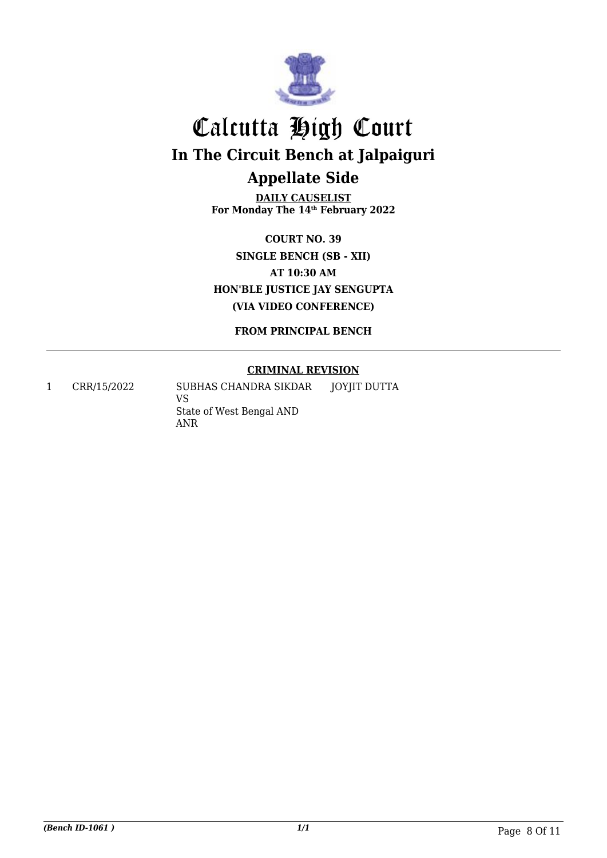

**DAILY CAUSELIST For Monday The 14th February 2022**

**COURT NO. 39 SINGLE BENCH (SB - XII) AT 10:30 AM HON'BLE JUSTICE JAY SENGUPTA (VIA VIDEO CONFERENCE)**

**FROM PRINCIPAL BENCH**

### **CRIMINAL REVISION**

1 CRR/15/2022 SUBHAS CHANDRA SIKDAR VS State of West Bengal AND ANR JOYJIT DUTTA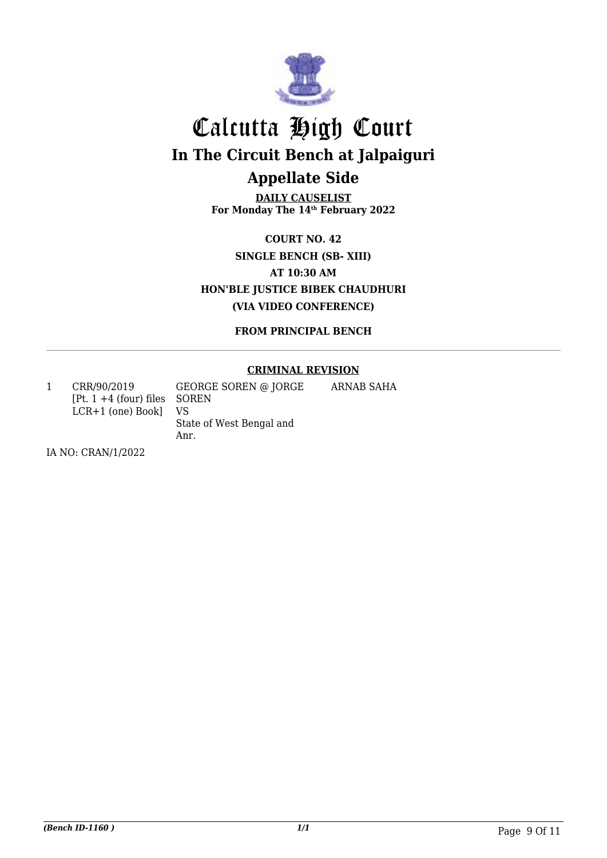

**DAILY CAUSELIST For Monday The 14th February 2022**

**COURT NO. 42 SINGLE BENCH (SB- XIII) AT 10:30 AM HON'BLE JUSTICE BIBEK CHAUDHURI (VIA VIDEO CONFERENCE)**

**FROM PRINCIPAL BENCH**

### **CRIMINAL REVISION**

ARNAB SAHA

1 CRR/90/2019 [Pt. 1 +4 (four) files SOREN LCR+1 (one) Book] GEORGE SOREN @ JORGE VS

State of West Bengal and Anr.

IA NO: CRAN/1/2022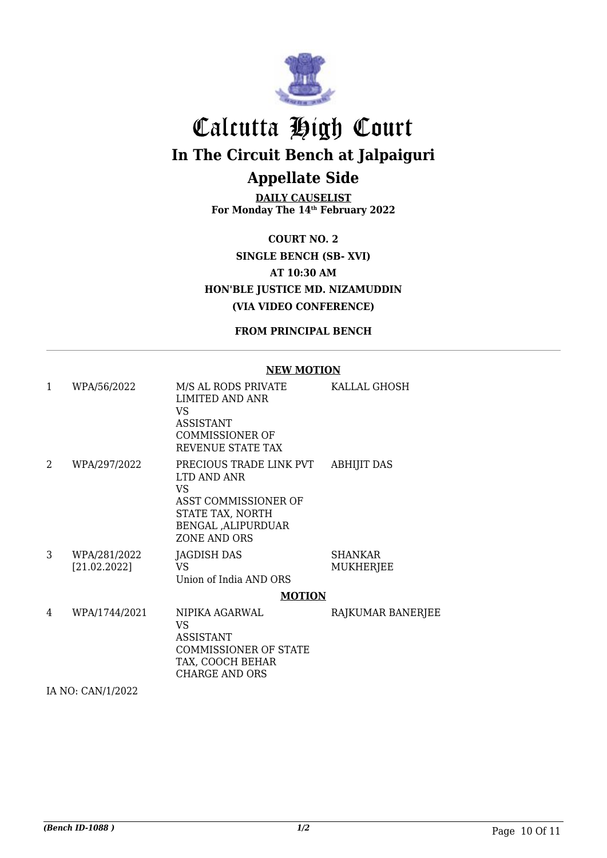

**DAILY CAUSELIST For Monday The 14th February 2022**

**COURT NO. 2 SINGLE BENCH (SB- XVI) AT 10:30 AM HON'BLE JUSTICE MD. NIZAMUDDIN (VIA VIDEO CONFERENCE)**

**FROM PRINCIPAL BENCH**

#### **NEW MOTION**

| 1 | WPA/56/2022                  | M/S AL RODS PRIVATE<br>LIMITED AND ANR<br>VS.<br><b>ASSISTANT</b><br><b>COMMISSIONER OF</b><br><b>REVENUE STATE TAX</b>         | KALLAL GHOSH                |
|---|------------------------------|---------------------------------------------------------------------------------------------------------------------------------|-----------------------------|
| 2 | WPA/297/2022                 | PRECIOUS TRADE LINK PVT<br>LTD AND ANR<br>VS<br>ASST COMMISSIONER OF<br>STATE TAX, NORTH<br>BENGAL , ALIPURDUAR<br>ZONE AND ORS | <b>ABHIJIT DAS</b>          |
| 3 | WPA/281/2022<br>[21.02.2022] | JAGDISH DAS<br>VS.<br>Union of India AND ORS                                                                                    | SHANKAR<br><b>MUKHERJEE</b> |
|   |                              | <b>MOTION</b>                                                                                                                   |                             |
| 4 | WPA/1744/2021                | NIPIKA AGARWAL<br>VS.<br>ASSISTANT<br><b>COMMISSIONER OF STATE</b><br>TAX, COOCH BEHAR<br><b>CHARGE AND ORS</b>                 | RAJKUMAR BANERJEE           |

IA NO: CAN/1/2022